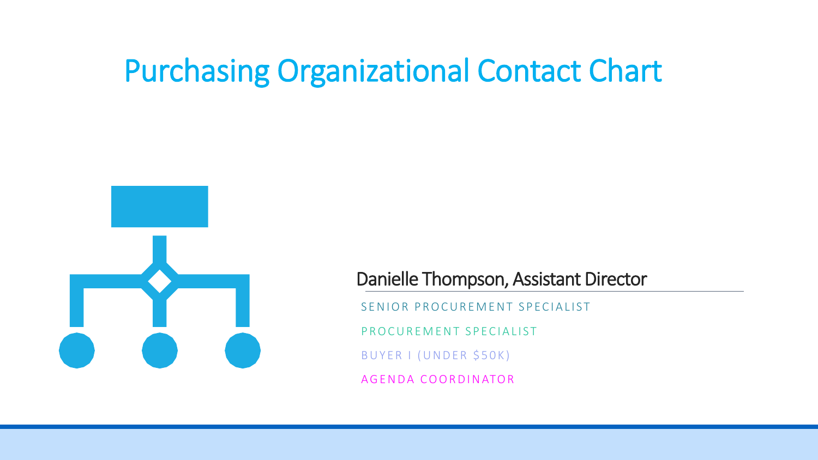## Purchasing Organizational Contact Chart



Danielle Thompson, Assistant Director

SENIOR PROCUREMENT SPECIALIST

P R O C U R E M E N T S P E C I A L I S T

BUYER I (UNDER \$50K)

A G E N D A COORD IN ATOR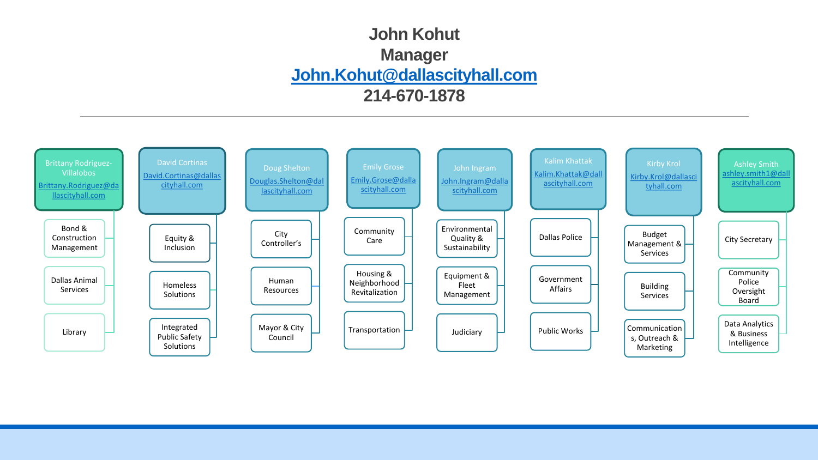## **John Kohut Manager [John.Kohut@dallascityhall.com](mailto:John.Kohut@dallascityhall.com) 214-670-1878**

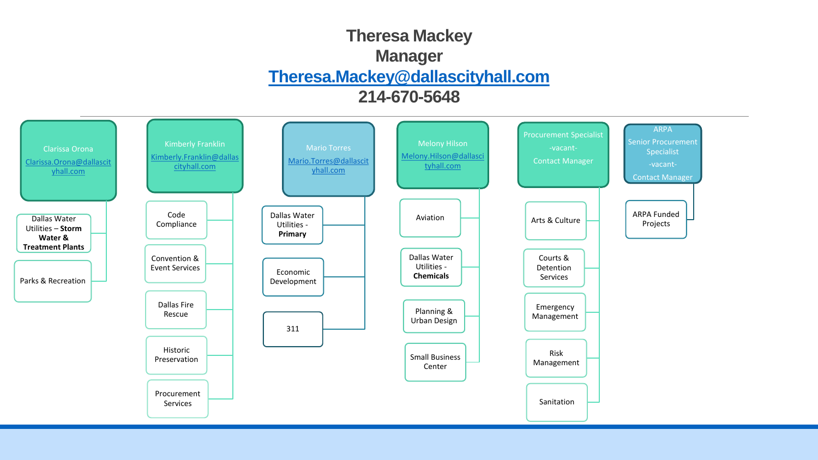## **Theresa Mackey Manager [Theresa.Mackey@dallascityhall.com](mailto:Theresa.Mackey@dallascityhall.com) 214-670-5648**